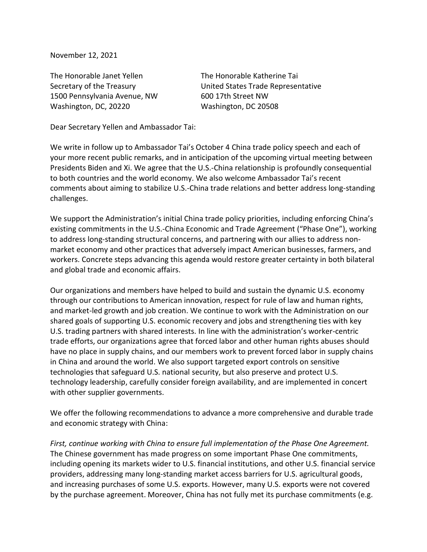November 12, 2021

The Honorable Janet Yellen The Honorable Katherine Tai 1500 Pennsylvania Avenue, NW 600 17th Street NW Washington, DC, 20220 Washington, DC 20508

Secretary of the Treasury United States Trade Representative

Dear Secretary Yellen and Ambassador Tai:

We write in follow up to Ambassador Tai's October 4 China trade policy speech and each of your more recent public remarks, and in anticipation of the upcoming virtual meeting between Presidents Biden and Xi. We agree that the U.S.-China relationship is profoundly consequential to both countries and the world economy. We also welcome Ambassador Tai's recent comments about aiming to stabilize U.S.-China trade relations and better address long-standing challenges.

We support the Administration's initial China trade policy priorities, including enforcing China's existing commitments in the U.S.-China Economic and Trade Agreement ("Phase One"), working to address long-standing structural concerns, and partnering with our allies to address nonmarket economy and other practices that adversely impact American businesses, farmers, and workers. Concrete steps advancing this agenda would restore greater certainty in both bilateral and global trade and economic affairs.

Our organizations and members have helped to build and sustain the dynamic U.S. economy through our contributions to American innovation, respect for rule of law and human rights, and market-led growth and job creation. We continue to work with the Administration on our shared goals of supporting U.S. economic recovery and jobs and strengthening ties with key U.S. trading partners with shared interests. In line with the administration's worker-centric trade efforts, our organizations agree that forced labor and other human rights abuses should have no place in supply chains, and our members work to prevent forced labor in supply chains in China and around the world. We also support targeted export controls on sensitive technologies that safeguard U.S. national security, but also preserve and protect U.S. technology leadership, carefully consider foreign availability, and are implemented in concert with other supplier governments.

We offer the following recommendations to advance a more comprehensive and durable trade and economic strategy with China:

*First, continue working with China to ensure full implementation of the Phase One Agreement.* The Chinese government has made progress on some important Phase One commitments, including opening its markets wider to U.S. financial institutions, and other U.S. financial service providers, addressing many long-standing market access barriers for U.S. agricultural goods, and increasing purchases of some U.S. exports. However, many U.S. exports were not covered by the purchase agreement. Moreover, China has not fully met its purchase commitments (e.g.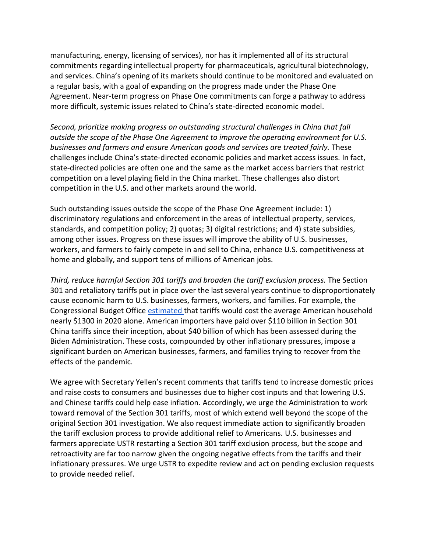manufacturing, energy, licensing of services), nor has it implemented all of its structural commitments regarding intellectual property for pharmaceuticals, agricultural biotechnology, and services. China's opening of its markets should continue to be monitored and evaluated on a regular basis, with a goal of expanding on the progress made under the Phase One Agreement. Near-term progress on Phase One commitments can forge a pathway to address more difficult, systemic issues related to China's state-directed economic model.

*Second, prioritize making progress on outstanding structural challenges in China that fall outside the scope of the Phase One Agreement to improve the operating environment for U.S. businesses and farmers and ensure American goods and services are treated fairly.* These challenges include China's state-directed economic policies and market access issues. In fact, state-directed policies are often one and the same as the market access barriers that restrict competition on a level playing field in the China market. These challenges also distort competition in the U.S. and other markets around the world.

Such outstanding issues outside the scope of the Phase One Agreement include: 1) discriminatory regulations and enforcement in the areas of intellectual property, services, standards, and competition policy; 2) quotas; 3) digital restrictions; and 4) state subsidies, among other issues. Progress on these issues will improve the ability of U.S. businesses, workers, and farmers to fairly compete in and sell to China, enhance U.S. competitiveness at home and globally, and support tens of millions of American jobs.

*Third, reduce harmful Section 301 tariffs and broaden the tariff exclusion process.* The Section 301 and retaliatory tariffs put in place over the last several years continue to disproportionately cause economic harm to U.S. businesses, farmers, workers, and families. For example, the Congressional Budget Offic[e](https://www.cbo.gov/publication/56073) [estimated t](https://www.cbo.gov/publication/56073)hat tariffs would cost the average American household nearly \$1300 in 2020 alone. American importers have paid over \$110 billion in Section 301 China tariffs since their inception, about \$40 billion of which has been assessed during the Biden Administration. These costs, compounded by other inflationary pressures, impose a significant burden on American businesses, farmers, and families trying to recover from the effects of the pandemic.

We agree with Secretary Yellen's recent comments that tariffs tend to increase domestic prices and raise costs to consumers and businesses due to higher cost inputs and that lowering U.S. and Chinese tariffs could help ease inflation. Accordingly, we urge the Administration to work toward removal of the Section 301 tariffs, most of which extend well beyond the scope of the original Section 301 investigation. We also request immediate action to significantly broaden the tariff exclusion process to provide additional relief to Americans. U.S. businesses and farmers appreciate USTR restarting a Section 301 tariff exclusion process, but the scope and retroactivity are far too narrow given the ongoing negative effects from the tariffs and their inflationary pressures. We urge USTR to expedite review and act on pending exclusion requests to provide needed relief.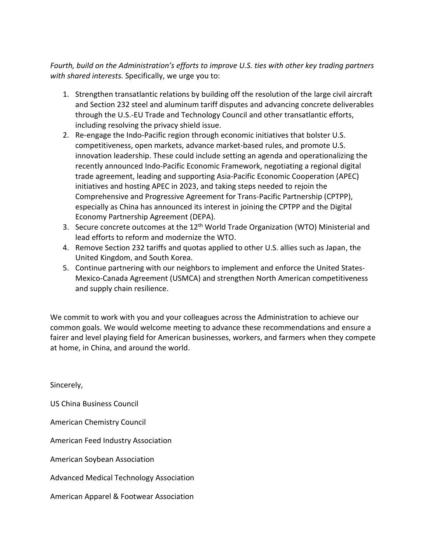*Fourth, build on the Administration's efforts to improve U.S. ties with other key trading partners with shared interests.* Specifically, we urge you to:

- 1. Strengthen transatlantic relations by building off the resolution of the large civil aircraft and Section 232 steel and aluminum tariff disputes and advancing concrete deliverables through the U.S.-EU Trade and Technology Council and other transatlantic efforts, including resolving the privacy shield issue.
- 2. Re-engage the Indo-Pacific region through economic initiatives that bolster U.S. competitiveness, open markets, advance market-based rules, and promote U.S. innovation leadership. These could include setting an agenda and operationalizing the recently announced Indo-Pacific Economic Framework, negotiating a regional digital trade agreement, leading and supporting Asia-Pacific Economic Cooperation (APEC) initiatives and hosting APEC in 2023, and taking steps needed to rejoin the Comprehensive and Progressive Agreement for Trans-Pacific Partnership (CPTPP), especially as China has announced its interest in joining the CPTPP and the Digital Economy Partnership Agreement (DEPA).
- 3. Secure concrete outcomes at the 12<sup>th</sup> World Trade Organization (WTO) Ministerial and lead efforts to reform and modernize the WTO.
- 4. Remove Section 232 tariffs and quotas applied to other U.S. allies such as Japan, the United Kingdom, and South Korea.
- 5. Continue partnering with our neighbors to implement and enforce the United States-Mexico-Canada Agreement (USMCA) and strengthen North American competitiveness and supply chain resilience.

We commit to work with you and your colleagues across the Administration to achieve our common goals. We would welcome meeting to advance these recommendations and ensure a fairer and level playing field for American businesses, workers, and farmers when they compete at home, in China, and around the world.

Sincerely,

US China Business Council

American Chemistry Council

American Feed Industry Association

American Soybean Association

Advanced Medical Technology Association

American Apparel & Footwear Association